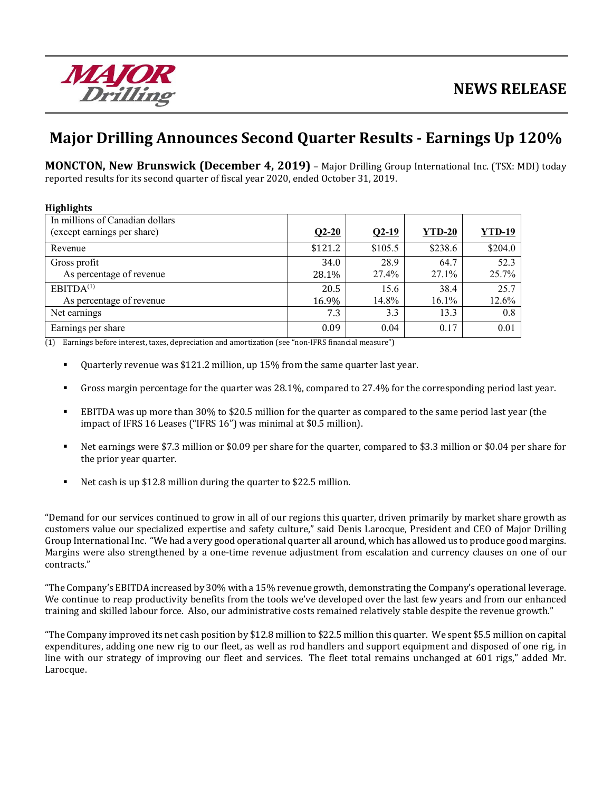

# **Major Drilling Announces Second Quarter Results ‐ Earnings Up 120%**

**MONCTON, New Brunswick (December 4, 2019)** – Major Drilling Group International Inc. (TSX: MDI) today reported results for its second quarter of fiscal year 2020, ended October 31, 2019.

| <b>Highlights</b>               |         |         |               |               |
|---------------------------------|---------|---------|---------------|---------------|
| In millions of Canadian dollars |         |         |               |               |
| (except earnings per share)     | $Q2-20$ | $Q2-19$ | <b>YTD-20</b> | <b>YTD-19</b> |
| Revenue                         | \$121.2 | \$105.5 | \$238.6       | \$204.0       |
| Gross profit                    | 34.0    | 28.9    | 64.7          | 52.3          |
| As percentage of revenue        | 28.1%   | 27.4%   | $27.1\%$      | 25.7%         |
| EBITDA <sup>(1)</sup>           | 20.5    | 15.6    | 38.4          | 25.7          |
| As percentage of revenue        | 16.9%   | 14.8%   | 16.1%         | 12.6%         |
| Net earnings                    | 7.3     | 3.3     | 13.3          | 0.8           |
| Earnings per share              | 0.09    | 0.04    | 0.17          | 0.01          |

(1) Earnings before interest, taxes, depreciation and amortization (see "non-IFRS financial measure")

- Quarterly revenue was \$121.2 million, up 15% from the same quarter last year.
- Gross margin percentage for the quarter was 28.1%, compared to 27.4% for the corresponding period last year.
- EBITDA was up more than 30% to \$20.5 million for the quarter as compared to the same period last year (the impact of IFRS 16 Leases ("IFRS 16") was minimal at \$0.5 million).
- Net earnings were \$7.3 million or \$0.09 per share for the quarter, compared to \$3.3 million or \$0.04 per share for the prior year quarter.
- Net cash is up \$12.8 million during the quarter to \$22.5 million.

"Demand for our services continued to grow in all of our regions this quarter, driven primarily by market share growth as customers value our specialized expertise and safety culture," said Denis Larocque, President and CEO of Major Drilling Group International Inc. "We had a very good operational quarter all around, which has allowed us to produce good margins. Margins were also strengthened by a one-time revenue adjustment from escalation and currency clauses on one of our contracts."

"The Company's EBITDA increased by 30% with a 15% revenue growth, demonstrating the Company's operational leverage. We continue to reap productivity benefits from the tools we've developed over the last few years and from our enhanced training and skilled labour force. Also, our administrative costs remained relatively stable despite the revenue growth."

"The Company improved its net cash position by \$12.8 million to \$22.5 million this quarter. We spent \$5.5 million on capital expenditures, adding one new rig to our fleet, as well as rod handlers and support equipment and disposed of one rig, in line with our strategy of improving our fleet and services. The fleet total remains unchanged at 601 rigs," added Mr. Larocque.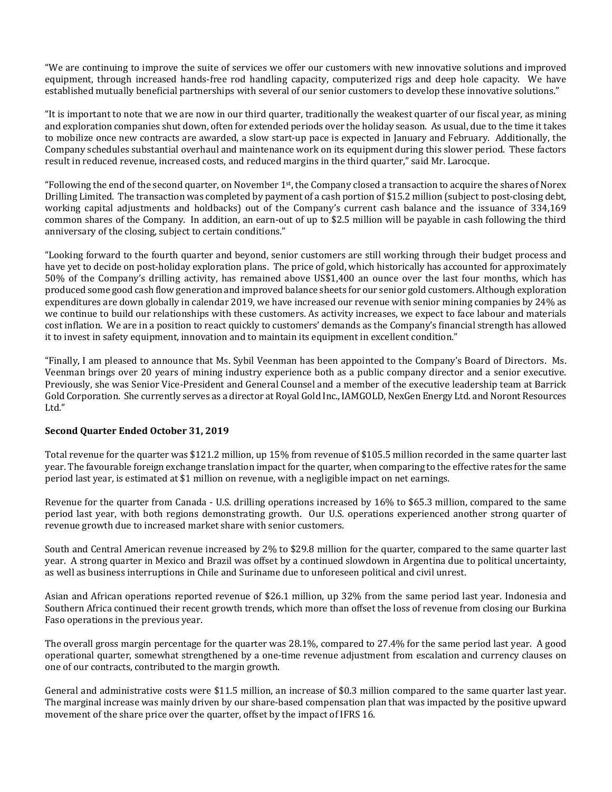"We are continuing to improve the suite of services we offer our customers with new innovative solutions and improved equipment, through increased hands-free rod handling capacity, computerized rigs and deep hole capacity. We have established mutually beneficial partnerships with several of our senior customers to develop these innovative solutions."

"It is important to note that we are now in our third quarter, traditionally the weakest quarter of our fiscal year, as mining and exploration companies shut down, often for extended periods over the holiday season. As usual, due to the time it takes to mobilize once new contracts are awarded, a slow start-up pace is expected in January and February. Additionally, the Company schedules substantial overhaul and maintenance work on its equipment during this slower period. These factors result in reduced revenue, increased costs, and reduced margins in the third quarter," said Mr. Larocque.

"Following the end of the second quarter, on November  $1<sup>st</sup>$ , the Company closed a transaction to acquire the shares of Norex Drilling Limited. The transaction was completed by payment of a cash portion of \$15.2 million (subject to post-closing debt, working capital adjustments and holdbacks) out of the Company's current cash balance and the issuance of 334,169 common shares of the Company. In addition, an earn-out of up to \$2.5 million will be payable in cash following the third anniversary of the closing, subject to certain conditions."

"Looking forward to the fourth quarter and beyond, senior customers are still working through their budget process and have yet to decide on post-holiday exploration plans. The price of gold, which historically has accounted for approximately 50% of the Company's drilling activity, has remained above US\$1,400 an ounce over the last four months, which has produced some good cash flow generation and improved balance sheets for our senior gold customers. Although exploration expenditures are down globally in calendar 2019, we have increased our revenue with senior mining companies by 24% as we continue to build our relationships with these customers. As activity increases, we expect to face labour and materials cost inflation. We are in a position to react quickly to customers' demands as the Company's financial strength has allowed it to invest in safety equipment, innovation and to maintain its equipment in excellent condition."

"Finally, I am pleased to announce that Ms. Sybil Veenman has been appointed to the Company's Board of Directors. Ms. Veenman brings over 20 years of mining industry experience both as a public company director and a senior executive. Previously, she was Senior Vice-President and General Counsel and a member of the executive leadership team at Barrick Gold Corporation. She currently serves as a director at Royal Gold Inc., IAMGOLD, NexGen Energy Ltd. and Noront Resources Ltd."

#### **Second Quarter Ended October 31, 2019**

Total revenue for the quarter was \$121.2 million, up 15% from revenue of \$105.5 million recorded in the same quarter last year. The favourable foreign exchange translation impact for the quarter, when comparing to the effective rates for the same period last year, is estimated at \$1 million on revenue, with a negligible impact on net earnings.

Revenue for the quarter from Canada - U.S. drilling operations increased by 16% to \$65.3 million, compared to the same period last year, with both regions demonstrating growth. Our U.S. operations experienced another strong quarter of revenue growth due to increased market share with senior customers.

South and Central American revenue increased by 2% to \$29.8 million for the quarter, compared to the same quarter last year. A strong quarter in Mexico and Brazil was offset by a continued slowdown in Argentina due to political uncertainty, as well as business interruptions in Chile and Suriname due to unforeseen political and civil unrest.

Asian and African operations reported revenue of \$26.1 million, up 32% from the same period last year. Indonesia and Southern Africa continued their recent growth trends, which more than offset the loss of revenue from closing our Burkina Faso operations in the previous year.

The overall gross margin percentage for the quarter was 28.1%, compared to 27.4% for the same period last year. A good operational quarter, somewhat strengthened by a one-time revenue adjustment from escalation and currency clauses on one of our contracts, contributed to the margin growth.

General and administrative costs were \$11.5 million, an increase of \$0.3 million compared to the same quarter last year. The marginal increase was mainly driven by our share-based compensation plan that was impacted by the positive upward movement of the share price over the quarter, offset by the impact of IFRS 16.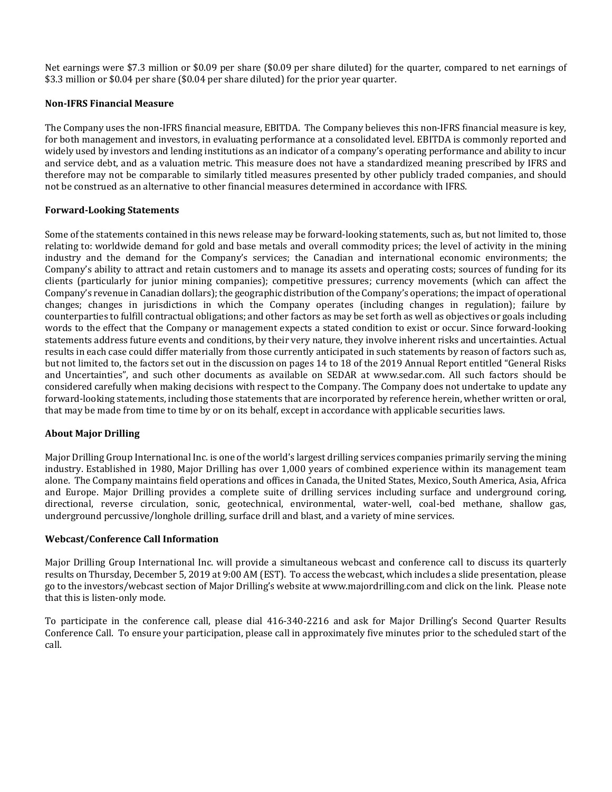Net earnings were \$7.3 million or \$0.09 per share (\$0.09 per share diluted) for the quarter, compared to net earnings of \$3.3 million or \$0.04 per share (\$0.04 per share diluted) for the prior year quarter.

#### **Non‐IFRS Financial Measure**

The Company uses the non-IFRS financial measure, EBITDA. The Company believes this non-IFRS financial measure is key, for both management and investors, in evaluating performance at a consolidated level. EBITDA is commonly reported and widely used by investors and lending institutions as an indicator of a company's operating performance and ability to incur and service debt, and as a valuation metric. This measure does not have a standardized meaning prescribed by IFRS and therefore may not be comparable to similarly titled measures presented by other publicly traded companies, and should not be construed as an alternative to other financial measures determined in accordance with IFRS.

#### **Forward‐Looking Statements**

Some of the statements contained in this news release may be forward-looking statements, such as, but not limited to, those relating to: worldwide demand for gold and base metals and overall commodity prices; the level of activity in the mining industry and the demand for the Company's services; the Canadian and international economic environments; the Company's ability to attract and retain customers and to manage its assets and operating costs; sources of funding for its clients (particularly for junior mining companies); competitive pressures; currency movements (which can affect the Company's revenue in Canadian dollars); the geographic distribution of the Company's operations; the impact of operational changes; changes in jurisdictions in which the Company operates (including changes in regulation); failure by counterparties to fulfill contractual obligations; and other factors as may be set forth as well as objectives or goals including words to the effect that the Company or management expects a stated condition to exist or occur. Since forward-looking statements address future events and conditions, by their very nature, they involve inherent risks and uncertainties. Actual results in each case could differ materially from those currently anticipated in such statements by reason of factors such as, but not limited to, the factors set out in the discussion on pages 14 to 18 of the 2019 Annual Report entitled "General Risks and Uncertainties", and such other documents as available on SEDAR at www.sedar.com. All such factors should be considered carefully when making decisions with respect to the Company. The Company does not undertake to update any forward-looking statements, including those statements that are incorporated by reference herein, whether written or oral, that may be made from time to time by or on its behalf, except in accordance with applicable securities laws.

#### **About Major Drilling**

Major Drilling Group International Inc. is one of the world's largest drilling services companies primarily serving the mining industry. Established in 1980, Major Drilling has over 1,000 years of combined experience within its management team alone. The Company maintains field operations and offices in Canada, the United States, Mexico, South America, Asia, Africa and Europe. Major Drilling provides a complete suite of drilling services including surface and underground coring, directional, reverse circulation, sonic, geotechnical, environmental, water-well, coal-bed methane, shallow gas, underground percussive/longhole drilling, surface drill and blast, and a variety of mine services.

#### **Webcast/Conference Call Information**

Major Drilling Group International Inc. will provide a simultaneous webcast and conference call to discuss its quarterly results on Thursday, December 5, 2019 at 9:00 AM (EST). To access the webcast, which includes a slide presentation, please go to the investors/webcast section of Major Drilling's website at www.majordrilling.com and click on the link. Please note that this is listen-only mode.

To participate in the conference call, please dial 416-340-2216 and ask for Major Drilling's Second Quarter Results Conference Call. To ensure your participation, please call in approximately five minutes prior to the scheduled start of the call.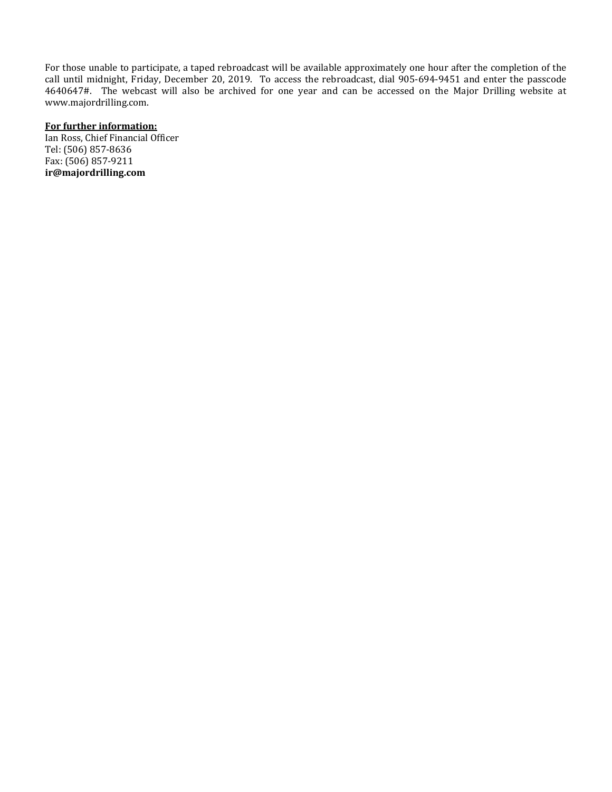For those unable to participate, a taped rebroadcast will be available approximately one hour after the completion of the call until midnight, Friday, December 20, 2019. To access the rebroadcast, dial 905-694-9451 and enter the passcode 4640647#. The webcast will also be archived for one year and can be accessed on the Major Drilling website at www.majordrilling.com.

## **For further information:**

Ian Ross, Chief Financial Officer Tel: (506) 857-8636 Fax: (506) 857-9211 **ir@majordrilling.com**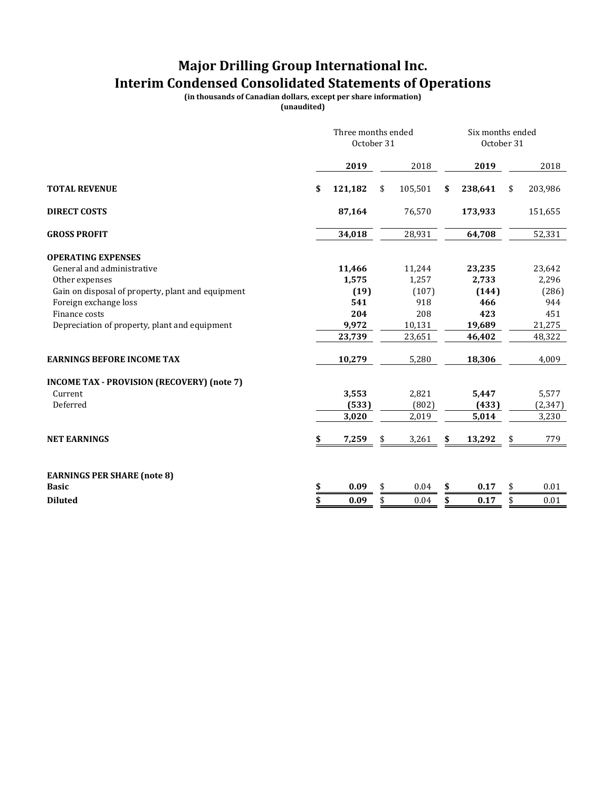## **Major Drilling Group International Inc. Interim Condensed Consolidated Statements of Operations**

**(in thousands of Canadian dollars, except per share information)**

|                                                   | Three months ended<br>October 31 |         |    |          | Six months ended<br>October 31 |         |    |          |
|---------------------------------------------------|----------------------------------|---------|----|----------|--------------------------------|---------|----|----------|
|                                                   |                                  | 2019    |    | 2018     |                                | 2019    |    | 2018     |
| <b>TOTAL REVENUE</b>                              | \$                               | 121,182 | \$ | 105,501  | \$                             | 238,641 | \$ | 203,986  |
| <b>DIRECT COSTS</b>                               |                                  | 87,164  |    | 76,570   |                                | 173,933 |    | 151,655  |
| <b>GROSS PROFIT</b>                               |                                  | 34,018  |    | 28,931   |                                | 64,708  |    | 52,331   |
| <b>OPERATING EXPENSES</b>                         |                                  |         |    |          |                                |         |    |          |
| General and administrative                        |                                  | 11,466  |    | 11,244   |                                | 23,235  |    | 23,642   |
| Other expenses                                    |                                  | 1,575   |    | 1,257    |                                | 2,733   |    | 2,296    |
| Gain on disposal of property, plant and equipment |                                  | (19)    |    | (107)    |                                | (144)   |    | (286)    |
| Foreign exchange loss                             |                                  | 541     |    | 918      |                                | 466     |    | 944      |
| Finance costs                                     |                                  | 204     |    | 208      |                                | 423     |    | 451      |
| Depreciation of property, plant and equipment     |                                  | 9,972   |    | 10,131   |                                | 19,689  |    | 21,275   |
|                                                   |                                  | 23,739  |    | 23,651   |                                | 46,402  |    | 48,322   |
| <b>EARNINGS BEFORE INCOME TAX</b>                 |                                  | 10,279  |    | 5,280    |                                | 18,306  |    | 4,009    |
| <b>INCOME TAX - PROVISION (RECOVERY) (note 7)</b> |                                  |         |    |          |                                |         |    |          |
| Current                                           |                                  | 3,553   |    | 2,821    |                                | 5,447   |    | 5,577    |
| Deferred                                          |                                  | (533)   |    | (802)    |                                | (433)   |    | (2, 347) |
|                                                   |                                  | 3,020   |    | 2,019    |                                | 5,014   |    | 3,230    |
| <b>NET EARNINGS</b>                               | \$                               | 7,259   | \$ | 3,261    | \$                             | 13,292  |    | 779      |
| <b>EARNINGS PER SHARE (note 8)</b>                |                                  |         |    |          |                                |         |    |          |
| <b>Basic</b>                                      | \$                               | 0.09    | \$ | $0.04\,$ | \$                             | 0.17    | \$ | 0.01     |
| <b>Diluted</b>                                    | \$                               | 0.09    | \$ | 0.04     | \$                             | 0.17    | \$ | 0.01     |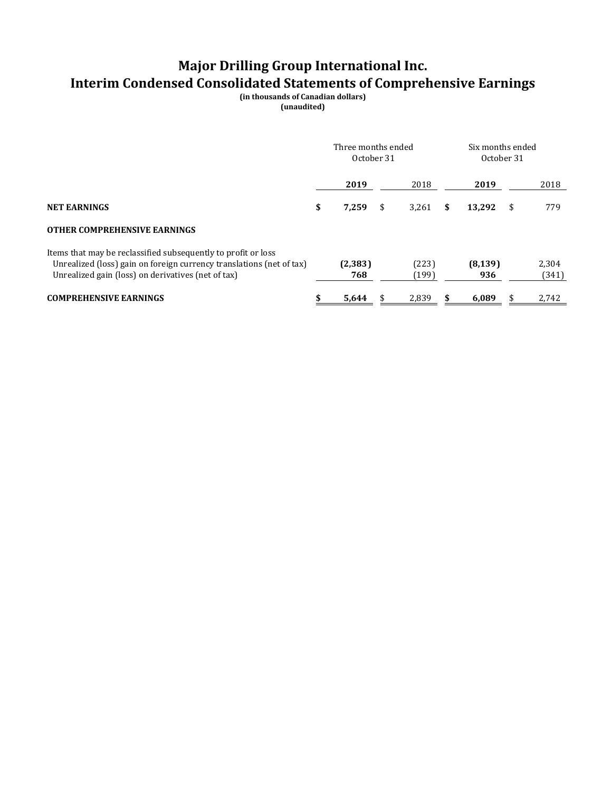# **Major Drilling Group International Inc. Interim Condensed Consolidated Statements of Comprehensive Earnings**

**(in thousands of Canadian dollars)**

|                                                                                                                                                                                             | Three months ended<br>October 31 |                 |    |                | Six months ended<br>October 31 |                 |    |                |
|---------------------------------------------------------------------------------------------------------------------------------------------------------------------------------------------|----------------------------------|-----------------|----|----------------|--------------------------------|-----------------|----|----------------|
|                                                                                                                                                                                             |                                  | 2019            |    | 2018           |                                | 2019            |    | 2018           |
| <b>NET EARNINGS</b>                                                                                                                                                                         | \$                               | 7,259           | \$ | 3.261          | \$                             | 13,292          | -S | 779            |
| <b>OTHER COMPREHENSIVE EARNINGS</b>                                                                                                                                                         |                                  |                 |    |                |                                |                 |    |                |
| Items that may be reclassified subsequently to profit or loss<br>Unrealized (loss) gain on foreign currency translations (net of tax)<br>Unrealized gain (loss) on derivatives (net of tax) |                                  | (2, 383)<br>768 |    | (223)<br>(199) |                                | (8, 139)<br>936 |    | 2,304<br>(341) |
| <b>COMPREHENSIVE EARNINGS</b>                                                                                                                                                               | \$                               | 5.644           |    | 2.839          | \$                             | 6.089           |    | 2.742          |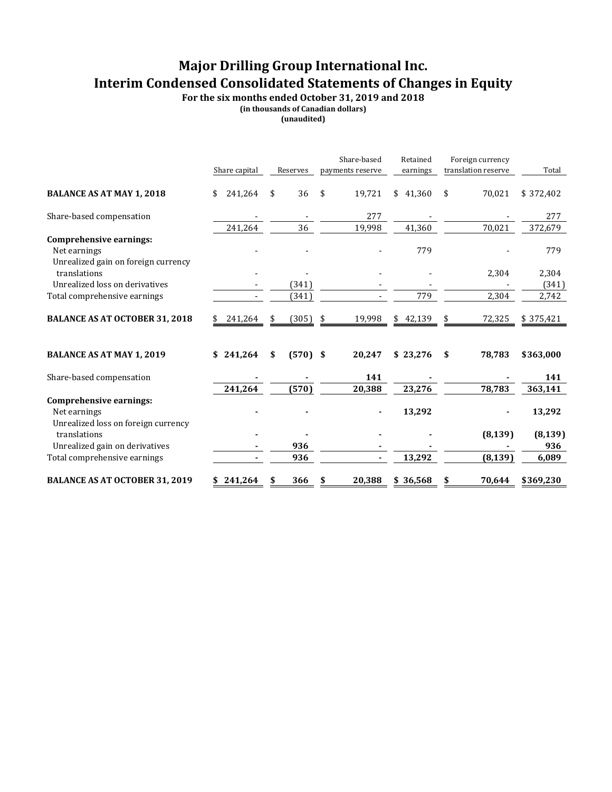## **Major Drilling Group International Inc. Interim Condensed Consolidated Statements of Changes in Equity**

**For the six months ended October 31, 2019 and 2018**

**(in thousands of Canadian dollars)**

|                                                                                | Share capital |    | Reserves   | Share-based<br>payments reserve | Retained<br>earnings | Foreign currency<br>translation reserve | Total     |
|--------------------------------------------------------------------------------|---------------|----|------------|---------------------------------|----------------------|-----------------------------------------|-----------|
| <b>BALANCE AS AT MAY 1, 2018</b>                                               | 241,264<br>\$ | \$ | 36         | \$<br>19,721                    | \$41,360             | \$<br>70,021                            | \$372,402 |
| Share-based compensation                                                       |               |    |            | 277                             |                      |                                         | 277       |
|                                                                                | 241,264       |    | 36         | 19,998                          | 41,360               | 70,021                                  | 372,679   |
| Comprehensive earnings:<br>Net earnings<br>Unrealized gain on foreign currency |               |    |            |                                 | 779                  |                                         | 779       |
| translations                                                                   |               |    |            |                                 |                      | 2,304                                   | 2,304     |
| Unrealized loss on derivatives                                                 |               |    | (341)      |                                 |                      |                                         | (341)     |
| Total comprehensive earnings                                                   |               |    | (341)      |                                 | 779                  | 2,304                                   | 2,742     |
| <b>BALANCE AS AT OCTOBER 31, 2018</b>                                          | 241,264<br>S  | S  | (305)      | \$<br>19,998                    | \$42,139             | 72,325                                  | \$375,421 |
| <b>BALANCE AS AT MAY 1, 2019</b>                                               | \$241,264     | \$ | $(570)$ \$ | 20,247                          | \$23,276             | \$<br>78,783                            | \$363,000 |
| Share-based compensation                                                       |               |    |            | 141                             |                      |                                         | 141       |
|                                                                                | 241,264       |    | (570)      | 20,388                          | 23,276               | 78,783                                  | 363,141   |
| Comprehensive earnings:                                                        |               |    |            |                                 |                      |                                         |           |
| Net earnings                                                                   |               |    |            |                                 | 13,292               |                                         | 13,292    |
| Unrealized loss on foreign currency                                            |               |    |            |                                 |                      |                                         |           |
| translations                                                                   |               |    |            |                                 |                      | (8, 139)                                | (8, 139)  |
| Unrealized gain on derivatives                                                 |               |    | 936        |                                 |                      |                                         | 936       |
| Total comprehensive earnings                                                   |               |    | 936        | ٠                               | 13,292               | (8, 139)                                | 6,089     |
| <b>BALANCE AS AT OCTOBER 31, 2019</b>                                          | \$241,264     | \$ | 366        | 20,388                          | \$36,568             | \$<br>70,644                            | \$369,230 |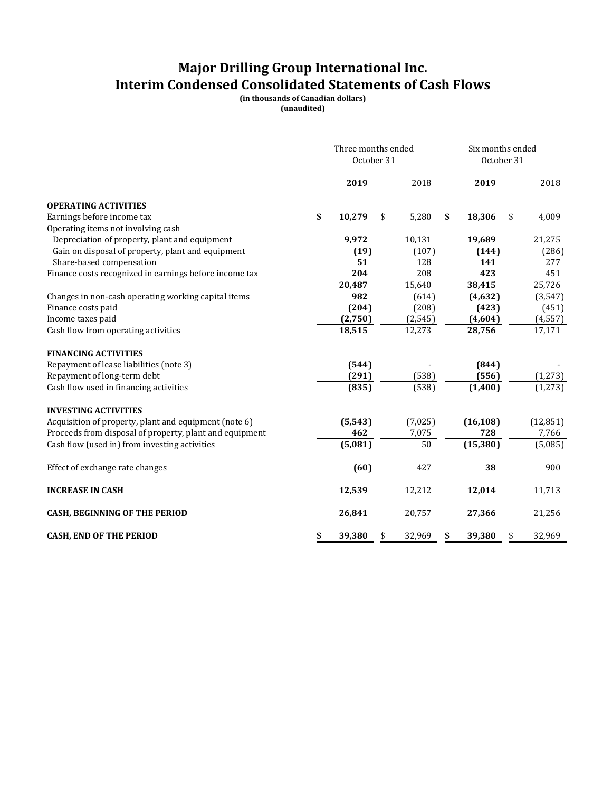## **Major Drilling Group International Inc. Interim Condensed Consolidated Statements of Cash Flows**

**(in thousands of Canadian dollars) (unaudited)**

|                                                         | Three months ended<br>October 31 |          |    |          | Six months ended<br>October 31 |           |    |           |
|---------------------------------------------------------|----------------------------------|----------|----|----------|--------------------------------|-----------|----|-----------|
|                                                         |                                  | 2019     |    | 2018     |                                | 2019      |    | 2018      |
| <b>OPERATING ACTIVITIES</b>                             |                                  |          |    |          |                                |           |    |           |
| Earnings before income tax                              | \$                               | 10,279   | \$ | 5,280    | \$                             | 18,306    | \$ | 4,009     |
| Operating items not involving cash                      |                                  |          |    |          |                                |           |    |           |
| Depreciation of property, plant and equipment           |                                  | 9,972    |    | 10,131   |                                | 19,689    |    | 21,275    |
| Gain on disposal of property, plant and equipment       |                                  | (19)     |    | (107)    |                                | (144)     |    | (286)     |
| Share-based compensation                                |                                  | 51       |    | 128      |                                | 141       |    | 277       |
| Finance costs recognized in earnings before income tax  |                                  | 204      |    | 208      |                                | 423       |    | 451       |
|                                                         |                                  | 20,487   |    | 15,640   |                                | 38,415    |    | 25,726    |
| Changes in non-cash operating working capital items     |                                  | 982      |    | (614)    |                                | (4, 632)  |    | (3, 547)  |
| Finance costs paid                                      |                                  | (204)    |    | (208)    |                                | (423)     |    | (451)     |
| Income taxes paid                                       |                                  | (2,750)  |    | (2, 545) |                                | (4,604)   |    | (4, 557)  |
| Cash flow from operating activities                     |                                  | 18,515   |    | 12,273   |                                | 28,756    |    | 17,171    |
| <b>FINANCING ACTIVITIES</b>                             |                                  |          |    |          |                                |           |    |           |
| Repayment of lease liabilities (note 3)                 |                                  | (544)    |    |          |                                | (844)     |    |           |
| Repayment of long-term debt                             |                                  | (291)    |    | (538)    |                                | (556)     |    | (1, 273)  |
| Cash flow used in financing activities                  |                                  | (835)    |    | (538)    |                                | (1,400)   |    | (1,273)   |
| <b>INVESTING ACTIVITIES</b>                             |                                  |          |    |          |                                |           |    |           |
| Acquisition of property, plant and equipment (note 6)   |                                  | (5, 543) |    | (7,025)  |                                | (16, 108) |    | (12, 851) |
| Proceeds from disposal of property, plant and equipment |                                  | 462      |    | 7,075    |                                | 728       |    | 7,766     |
| Cash flow (used in) from investing activities           |                                  | (5,081)  |    | 50       |                                | (15, 380) |    | (5,085)   |
| Effect of exchange rate changes                         |                                  | (60)     |    | 427      |                                | 38        |    | 900       |
| <b>INCREASE IN CASH</b>                                 |                                  | 12,539   |    | 12,212   |                                | 12,014    |    | 11,713    |
|                                                         |                                  |          |    |          |                                |           |    |           |
| <b>CASH, BEGINNING OF THE PERIOD</b>                    |                                  | 26,841   |    | 20,757   |                                | 27,366    |    | 21,256    |
| <b>CASH, END OF THE PERIOD</b>                          | \$                               | 39,380   | \$ | 32,969   | \$                             | 39,380    | \$ | 32,969    |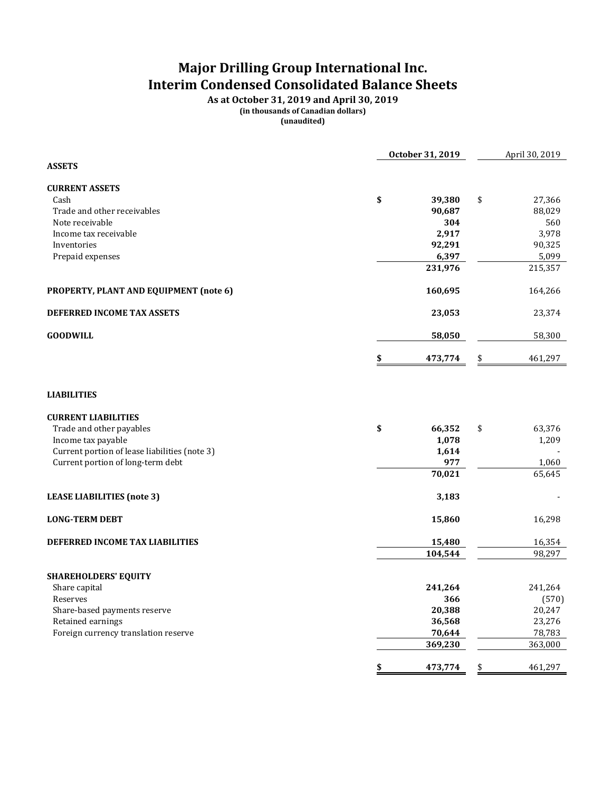## **Major Drilling Group International Inc. Interim Condensed Consolidated Balance Sheets**

**As at October 31, 2019 and April 30, 2019 (in thousands of Canadian dollars)**

|                                               | October 31, 2019    | April 30, 2019 |
|-----------------------------------------------|---------------------|----------------|
| <b>ASSETS</b>                                 |                     |                |
| <b>CURRENT ASSETS</b>                         |                     |                |
| Cash                                          | \$<br>\$<br>39,380  | 27,366         |
| Trade and other receivables                   | 90,687              | 88,029         |
| Note receivable                               | 304                 | 560            |
| Income tax receivable                         | 2,917               | 3,978          |
| Inventories                                   | 92,291              | 90,325         |
| Prepaid expenses                              | 6,397               | 5,099          |
|                                               | 231,976             | 215,357        |
| PROPERTY, PLANT AND EQUIPMENT (note 6)        | 160,695             | 164,266        |
| DEFERRED INCOME TAX ASSETS                    | 23,053              | 23,374         |
| <b>GOODWILL</b>                               | 58,050              | 58,300         |
|                                               | 473,774<br>\$       | 461,297        |
| <b>LIABILITIES</b>                            |                     |                |
| <b>CURRENT LIABILITIES</b>                    |                     |                |
| Trade and other payables                      | \$<br>66,352<br>\$  | 63,376         |
| Income tax payable                            | 1,078               | 1,209          |
| Current portion of lease liabilities (note 3) | 1,614               |                |
| Current portion of long-term debt             | 977                 | 1,060          |
|                                               | 70,021              | 65,645         |
| <b>LEASE LIABILITIES (note 3)</b>             | 3,183               |                |
| <b>LONG-TERM DEBT</b>                         | 15,860              | 16,298         |
| DEFERRED INCOME TAX LIABILITIES               | 15,480              | 16,354         |
|                                               | 104,544             | 98,297         |
|                                               |                     |                |
| SHAREHOLDERS' EQUITY                          |                     |                |
| Share capital                                 | 241,264             | 241,264        |
| Reserves                                      | 366                 | (570)          |
| Share-based payments reserve                  | 20,388              | 20,247         |
| Retained earnings                             | 36,568              | 23,276         |
| Foreign currency translation reserve          | 70,644              | 78,783         |
|                                               | 369,230             | 363,000        |
|                                               | \$<br>473,774<br>\$ | 461,297        |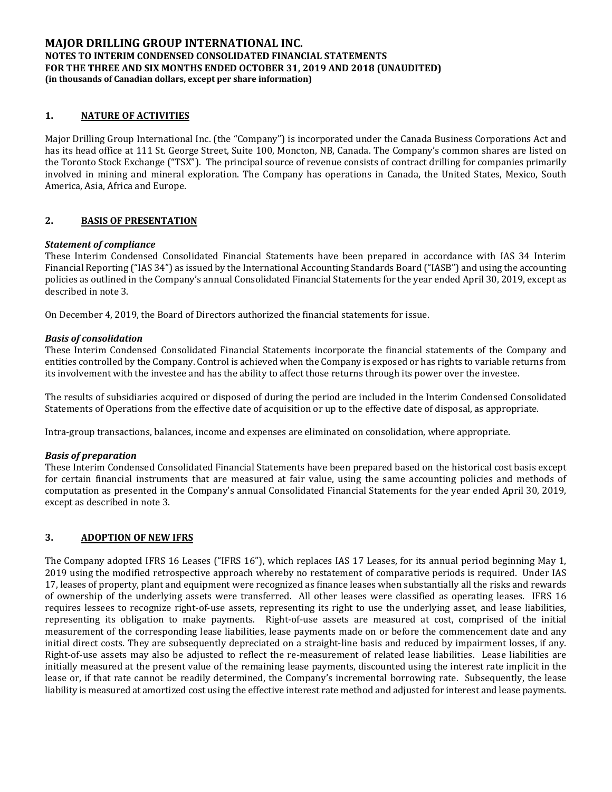## **1. NATURE OF ACTIVITIES**

Major Drilling Group International Inc. (the "Company") is incorporated under the Canada Business Corporations Act and has its head office at 111 St. George Street, Suite 100, Moncton, NB, Canada. The Company's common shares are listed on the Toronto Stock Exchange ("TSX"). The principal source of revenue consists of contract drilling for companies primarily involved in mining and mineral exploration. The Company has operations in Canada, the United States, Mexico, South America, Asia, Africa and Europe.

## **2. BASIS OF PRESENTATION**

#### *Statement of compliance*

These Interim Condensed Consolidated Financial Statements have been prepared in accordance with IAS 34 Interim Financial Reporting ("IAS 34") as issued by the International Accounting Standards Board ("IASB") and using the accounting policies as outlined in the Company's annual Consolidated Financial Statements for the year ended April 30, 2019, except as described in note 3.

On December 4, 2019, the Board of Directors authorized the financial statements for issue.

#### *Basis of consolidation*

These Interim Condensed Consolidated Financial Statements incorporate the financial statements of the Company and entities controlled by the Company. Control is achieved when the Company is exposed or has rights to variable returns from its involvement with the investee and has the ability to affect those returns through its power over the investee.

The results of subsidiaries acquired or disposed of during the period are included in the Interim Condensed Consolidated Statements of Operations from the effective date of acquisition or up to the effective date of disposal, as appropriate.

Intra-group transactions, balances, income and expenses are eliminated on consolidation, where appropriate.

#### *Basis of preparation*

These Interim Condensed Consolidated Financial Statements have been prepared based on the historical cost basis except for certain financial instruments that are measured at fair value, using the same accounting policies and methods of computation as presented in the Company's annual Consolidated Financial Statements for the year ended April 30, 2019, except as described in note 3.

#### **3. ADOPTION OF NEW IFRS**

The Company adopted IFRS 16 Leases ("IFRS 16"), which replaces IAS 17 Leases, for its annual period beginning May 1, 2019 using the modified retrospective approach whereby no restatement of comparative periods is required. Under IAS 17, leases of property, plant and equipment were recognized as finance leases when substantially all the risks and rewards of ownership of the underlying assets were transferred. All other leases were classified as operating leases. IFRS 16 requires lessees to recognize right-of-use assets, representing its right to use the underlying asset, and lease liabilities, representing its obligation to make payments. Right-of-use assets are measured at cost, comprised of the initial measurement of the corresponding lease liabilities, lease payments made on or before the commencement date and any initial direct costs. They are subsequently depreciated on a straight-line basis and reduced by impairment losses, if any. Right-of-use assets may also be adjusted to reflect the re-measurement of related lease liabilities. Lease liabilities are initially measured at the present value of the remaining lease payments, discounted using the interest rate implicit in the lease or, if that rate cannot be readily determined, the Company's incremental borrowing rate. Subsequently, the lease liability is measured at amortized cost using the effective interest rate method and adjusted for interest and lease payments.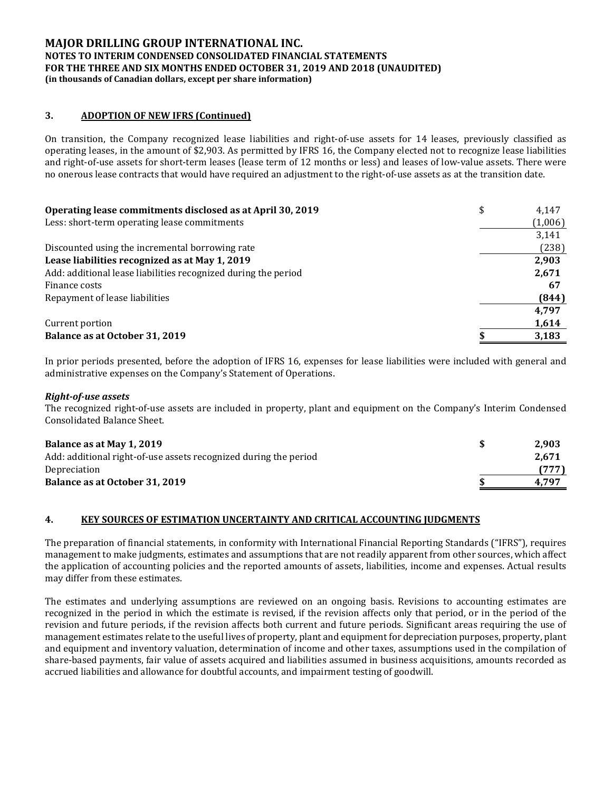## **3. ADOPTION OF NEW IFRS (Continued)**

On transition, the Company recognized lease liabilities and right-of-use assets for 14 leases, previously classified as operating leases, in the amount of \$2,903. As permitted by IFRS 16, the Company elected not to recognize lease liabilities and right-of-use assets for short-term leases (lease term of 12 months or less) and leases of low-value assets. There were no onerous lease contracts that would have required an adjustment to the right-of-use assets as at the transition date.

| Operating lease commitments disclosed as at April 30, 2019     | \$<br>4.147 |
|----------------------------------------------------------------|-------------|
| Less: short-term operating lease commitments                   | (1,006)     |
|                                                                | 3,141       |
| Discounted using the incremental borrowing rate                | (238)       |
| Lease liabilities recognized as at May 1, 2019                 | 2,903       |
| Add: additional lease liabilities recognized during the period | 2,671       |
| Finance costs                                                  | 67          |
| Repayment of lease liabilities                                 | (844)       |
|                                                                | 4.797       |
| Current portion                                                | 1,614       |
| Balance as at October 31, 2019                                 | 3,183       |

In prior periods presented, before the adoption of IFRS 16, expenses for lease liabilities were included with general and administrative expenses on the Company's Statement of Operations.

#### *Right-of-use assets*

The recognized right-of-use assets are included in property, plant and equipment on the Company's Interim Condensed Consolidated Balance Sheet.

| Balance as at May 1, 2019                                        | 2.903 |
|------------------------------------------------------------------|-------|
| Add: additional right-of-use assets recognized during the period | 2.671 |
| Depreciation                                                     | (777) |
| Balance as at October 31, 2019                                   | 4.797 |

## **4. KEY SOURCES OF ESTIMATION UNCERTAINTY AND CRITICAL ACCOUNTING JUDGMENTS**

The preparation of financial statements, in conformity with International Financial Reporting Standards ("IFRS"), requires management to make judgments, estimates and assumptions that are not readily apparent from other sources, which affect the application of accounting policies and the reported amounts of assets, liabilities, income and expenses. Actual results may differ from these estimates.

The estimates and underlying assumptions are reviewed on an ongoing basis. Revisions to accounting estimates are recognized in the period in which the estimate is revised, if the revision affects only that period, or in the period of the revision and future periods, if the revision affects both current and future periods. Significant areas requiring the use of management estimates relate to the useful lives of property, plant and equipment for depreciation purposes, property, plant and equipment and inventory valuation, determination of income and other taxes, assumptions used in the compilation of share-based payments, fair value of assets acquired and liabilities assumed in business acquisitions, amounts recorded as accrued liabilities and allowance for doubtful accounts, and impairment testing of goodwill.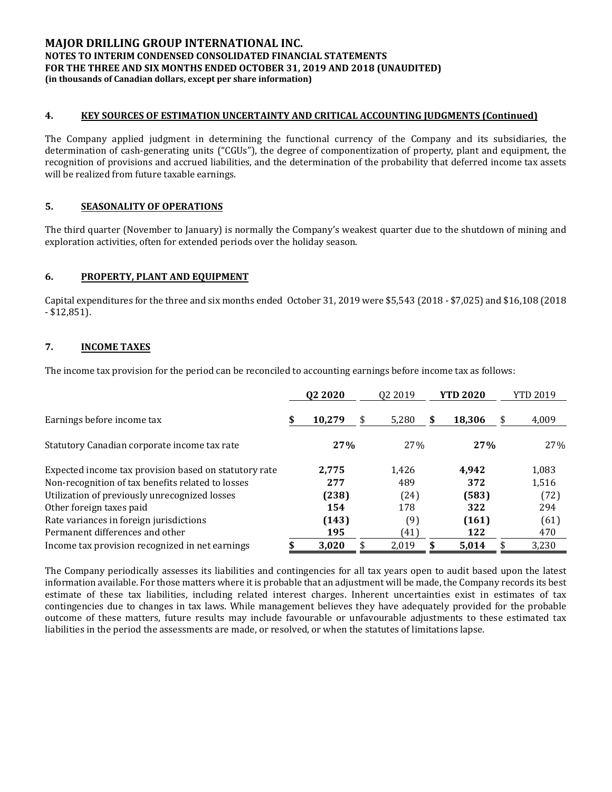### **4. KEY SOURCES OF ESTIMATION UNCERTAINTY AND CRITICAL ACCOUNTING JUDGMENTS (Continued)**

The Company applied judgment in determining the functional currency of the Company and its subsidiaries, the determination of cash-generating units ("CGUs"), the degree of componentization of property, plant and equipment, the recognition of provisions and accrued liabilities, and the determination of the probability that deferred income tax assets will be realized from future taxable earnings.

## **5. SEASONALITY OF OPERATIONS**

The third quarter (November to January) is normally the Company's weakest quarter due to the shutdown of mining and exploration activities, often for extended periods over the holiday season.

## **6. PROPERTY, PLANT AND EQUIPMENT**

Capital expenditures for the three and six months ended October 31, 2019 were \$5,543 (2018 - \$7,025) and \$16,108 (2018 - \$12,851).

## **7. INCOME TAXES**

The income tax provision for the period can be reconciled to accounting earnings before income tax as follows:

|                                                       | Q <sub>2</sub> 20 <sub>20</sub> |        | 02 2019 |   | <b>YTD 2020</b> | YTD 2019    |  |  |
|-------------------------------------------------------|---------------------------------|--------|---------|---|-----------------|-------------|--|--|
| Earnings before income tax                            |                                 | 10,279 | 5,280   | S | 18,306          | \$<br>4,009 |  |  |
| Statutory Canadian corporate income tax rate          |                                 | 27%    | 27%     |   | 27%             | 27%         |  |  |
| Expected income tax provision based on statutory rate |                                 | 2.775  | 1.426   |   | 4.942           | 1,083       |  |  |
| Non-recognition of tax benefits related to losses     |                                 | 277    | 489     |   | 372             | 1,516       |  |  |
| Utilization of previously unrecognized losses         |                                 | (238)  | (24)    |   | (583)           | (72)        |  |  |
| Other foreign taxes paid                              |                                 | 154    | 178     |   | 322             | 294         |  |  |
| Rate variances in foreign jurisdictions               |                                 | (143)  | (9)     |   | (161)           | (61)        |  |  |
| Permanent differences and other                       |                                 | 195    | (41)    |   | 122             | 470         |  |  |
| Income tax provision recognized in net earnings       |                                 | 3,020  | 2.019   |   | 5.014           | \$<br>3,230 |  |  |

The Company periodically assesses its liabilities and contingencies for all tax years open to audit based upon the latest information available. For those matters where it is probable that an adjustment will be made, the Company records its best estimate of these tax liabilities, including related interest charges. Inherent uncertainties exist in estimates of tax contingencies due to changes in tax laws. While management believes they have adequately provided for the probable outcome of these matters, future results may include favourable or unfavourable adjustments to these estimated tax liabilities in the period the assessments are made, or resolved, or when the statutes of limitations lapse.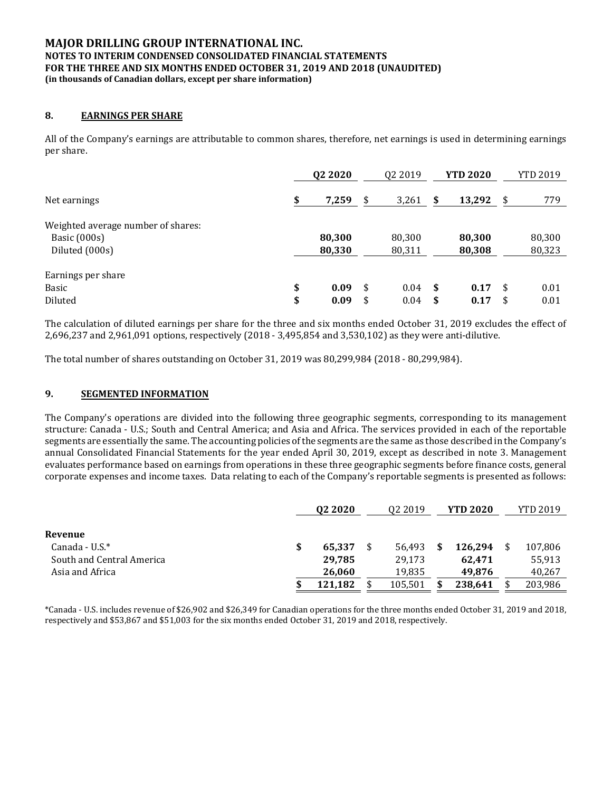### **8. EARNINGS PER SHARE**

All of the Company's earnings are attributable to common shares, therefore, net earnings is used in determining earnings per share.

|                                    | Q <sub>2</sub> 20 <sub>20</sub> | 02 2019     |      | <b>YTD 2020</b> | YTD 2019   |
|------------------------------------|---------------------------------|-------------|------|-----------------|------------|
| Net earnings                       | \$<br>7,259                     | \$<br>3,261 | \$   | 13,292          | \$<br>779  |
| Weighted average number of shares: |                                 |             |      |                 |            |
| Basic (000s)                       | 80,300                          | 80,300      |      | 80,300          | 80,300     |
| Diluted (000s)                     | 80,330                          | 80,311      |      | 80,308          | 80,323     |
| Earnings per share                 |                                 |             |      |                 |            |
| Basic                              | \$<br>0.09                      | \$<br>0.04  | - \$ | 0.17            | \$<br>0.01 |
| Diluted                            | \$<br>0.09                      | \$<br>0.04  | \$   | 0.17            | \$<br>0.01 |

The calculation of diluted earnings per share for the three and six months ended October 31, 2019 excludes the effect of 2,696,237 and 2,961,091 options, respectively (2018 - 3,495,854 and 3,530,102) as they were anti-dilutive.

The total number of shares outstanding on October 31, 2019 was 80,299,984 (2018 - 80,299,984).

#### **9. SEGMENTED INFORMATION**

The Company's operations are divided into the following three geographic segments, corresponding to its management structure: Canada - U.S.; South and Central America; and Asia and Africa. The services provided in each of the reportable segments are essentially the same. The accounting policies of the segments are the same as those described in the Company's annual Consolidated Financial Statements for the year ended April 30, 2019, except as described in note 3. Management evaluates performance based on earnings from operations in these three geographic segments before finance costs, general corporate expenses and income taxes. Data relating to each of the Company's reportable segments is presented as follows:

|                           | Q <sub>2</sub> 20 <sub>20</sub> | Q <sub>2</sub> 2019 | <b>YTD 2020</b> |  | <b>YTD 2019</b> |
|---------------------------|---------------------------------|---------------------|-----------------|--|-----------------|
|                           |                                 |                     |                 |  |                 |
| Revenue                   |                                 |                     |                 |  |                 |
| Canada - U.S.*            | 65.337                          | 56.493              | 126.294         |  | 107,806         |
| South and Central America | 29.785                          | 29,173              | 62.471          |  | 55,913          |
| Asia and Africa           | 26,060                          | 19.835              | 49.876          |  | 40,267          |
|                           | 121,182                         | 105,501             | 238,641         |  | 203,986         |

\*Canada - U.S. includes revenue of \$26,902 and \$26,349 for Canadian operations for the three months ended October 31, 2019 and 2018, respectively and \$53,867 and \$51,003 for the six months ended October 31, 2019 and 2018, respectively.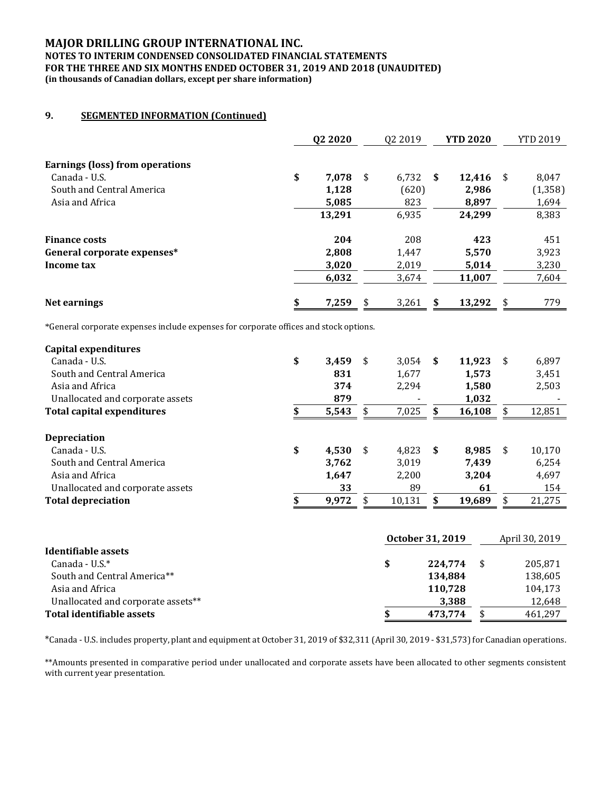## **MAJOR DRILLING GROUP INTERNATIONAL INC.**

#### **NOTES TO INTERIM CONDENSED CONSOLIDATED FINANCIAL STATEMENTS FOR THE THREE AND SIX MONTHS ENDED OCTOBER 31, 2019 AND 2018 (UNAUDITED) (in thousands of Canadian dollars, except per share information)**

## **9. SEGMENTED INFORMATION (Continued)**

|                                 | Q2 2020     |      | 02 2019 |    | <b>YTD 2020</b> |      | <b>YTD 2019</b> |
|---------------------------------|-------------|------|---------|----|-----------------|------|-----------------|
| Earnings (loss) from operations |             |      |         |    |                 |      |                 |
| Canada - U.S.                   | \$<br>7,078 | - \$ | 6,732   | -S | 12,416          | - \$ | 8,047           |
| South and Central America       | 1,128       |      | (620)   |    | 2,986           |      | (1, 358)        |
| Asia and Africa                 | 5,085       |      | 823     |    | 8.897           |      | 1,694           |
|                                 | 13,291      |      | 6,935   |    | 24,299          |      | 8,383           |
| <b>Finance costs</b>            | 204         |      | 208     |    | 423             |      | 451             |
| General corporate expenses*     | 2,808       |      | 1,447   |    | 5,570           |      | 3,923           |
| Income tax                      | 3,020       |      | 2,019   |    | 5,014           |      | 3,230           |
|                                 | 6,032       |      | 3,674   |    | 11,007          |      | 7,604           |
| Net earnings                    | \$<br>7,259 | \$   | 3,261   | S  | 13,292          | \$   | 779             |

\*General corporate expenses include expenses for corporate offices and stock options.

| Capital expenditures              |             |     |        |      |        |      |        |
|-----------------------------------|-------------|-----|--------|------|--------|------|--------|
| Canada - U.S.                     | \$<br>3.459 | \$  | 3.054  | S.   | 11,923 | - \$ | 6,897  |
| South and Central America         | 831         |     | 1,677  |      | 1,573  |      | 3,451  |
| Asia and Africa                   | 374         |     | 2,294  |      | 1,580  |      | 2,503  |
| Unallocated and corporate assets  | 879         |     |        |      | 1,032  |      |        |
| <b>Total capital expenditures</b> | 5,543       | \$. | 7,025  | \$   | 16,108 | S    | 12,851 |
| <b>Depreciation</b>               |             |     |        |      |        |      |        |
| Canada - U.S.                     | \$<br>4.530 | \$  | 4.823  | - \$ | 8.985  | \$   | 10,170 |
| South and Central America         | 3.762       |     | 3.019  |      | 7.439  |      | 6,254  |
| Asia and Africa                   | 1,647       |     | 2,200  |      | 3,204  |      | 4,697  |
| Unallocated and corporate assets  | 33          |     | 89     |      | 61     |      | 154    |
| <b>Total depreciation</b>         | 9,972       |     | 10,131 | \$   | 19,689 |      | 21,275 |

|                                    | October 31, 2019 |  |         |
|------------------------------------|------------------|--|---------|
| Identifiable assets                |                  |  |         |
| Canada - U.S. $*$                  | 224.774          |  | 205.871 |
| South and Central America**        | 134,884          |  | 138,605 |
| Asia and Africa                    | 110.728          |  | 104,173 |
| Unallocated and corporate assets** | 3,388            |  | 12,648  |
| Total identifiable assets          | 473.774          |  | 461,297 |

\*Canada - U.S. includes property, plant and equipment at October 31, 2019 of \$32,311 (April 30, 2019 - \$31,573) for Canadian operations.

\*\*Amounts presented in comparative period under unallocated and corporate assets have been allocated to other segments consistent with current year presentation.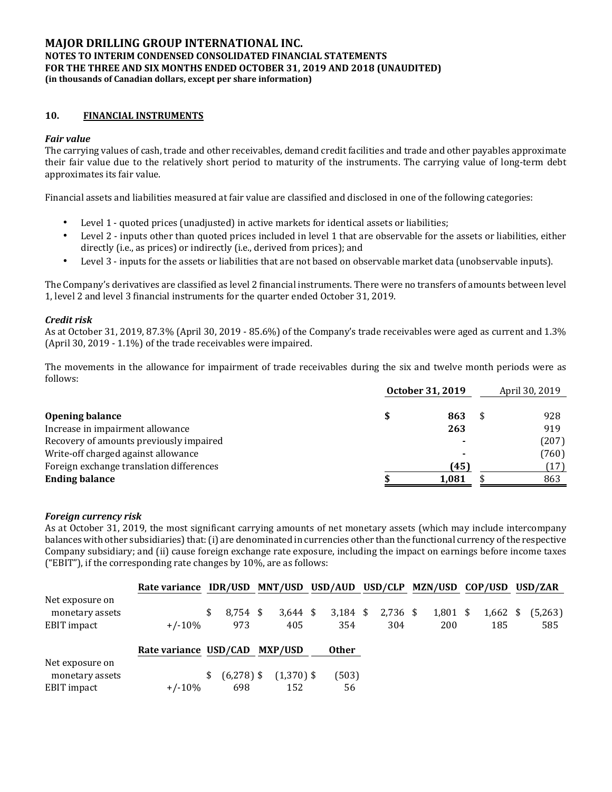## **10. FINANCIAL INSTRUMENTS**

### *Fair value*

The carrying values of cash, trade and other receivables, demand credit facilities and trade and other payables approximate their fair value due to the relatively short period to maturity of the instruments. The carrying value of long-term debt approximates its fair value.

Financial assets and liabilities measured at fair value are classified and disclosed in one of the following categories:

- Level 1 quoted prices (unadjusted) in active markets for identical assets or liabilities;
- Level 2 inputs other than quoted prices included in level 1 that are observable for the assets or liabilities, either directly (i.e., as prices) or indirectly (i.e., derived from prices); and
- Level 3 inputs for the assets or liabilities that are not based on observable market data (unobservable inputs).

The Company's derivatives are classified as level 2 financial instruments. There were no transfers of amounts between level 1, level 2 and level 3 financial instruments for the quarter ended October 31, 2019.

#### *Credit risk*

As at October 31, 2019, 87.3% (April 30, 2019 - 85.6%) of the Company's trade receivables were aged as current and 1.3% (April 30, 2019 - 1.1%) of the trade receivables were impaired.

The movements in the allowance for impairment of trade receivables during the six and twelve month periods were as follows:

|                                          | October 31, 2019 |       |  | April 30, 2019 |
|------------------------------------------|------------------|-------|--|----------------|
|                                          |                  |       |  |                |
| <b>Opening balance</b>                   |                  | 863   |  | 928            |
| Increase in impairment allowance         |                  | 263   |  | 919            |
| Recovery of amounts previously impaired  |                  |       |  | (207)          |
| Write-off charged against allowance      |                  |       |  | (760)          |
| Foreign exchange translation differences |                  | (45)  |  | (17)           |
| <b>Ending balance</b>                    |                  | 1,081 |  | 863            |

#### *Foreign currency risk*

As at October 31, 2019, the most significant carrying amounts of net monetary assets (which may include intercompany balances with other subsidiaries) that: (i) are denominated in currencies other than the functional currency of the respective Company subsidiary; and (ii) cause foreign exchange rate exposure, including the impact on earnings before income taxes ("EBIT"), if the corresponding rate changes by 10%, are as follows:

|                 | Rate variance IDR/USD MNT/USD USD/AUD USD/CLP MZN/USD COP/USD USD/ZAR |    |              |              |              |            |            |            |         |
|-----------------|-----------------------------------------------------------------------|----|--------------|--------------|--------------|------------|------------|------------|---------|
| Net exposure on |                                                                       |    |              |              |              |            |            |            |         |
| monetary assets |                                                                       | \$ | $8,754$ \$   | $3,644$ \$   | $3,184$ \$   | $2,736$ \$ | $1,801$ \$ | $1,662$ \$ | (5,263) |
| EBIT impact     | $+/-10%$                                                              |    | 973          | 405          | 354          | 304        | 200        | 185        | 585     |
|                 | Rate variance USD/CAD                                                 |    |              | MXP/USD      | <b>Other</b> |            |            |            |         |
| Net exposure on |                                                                       |    |              |              |              |            |            |            |         |
| monetary assets |                                                                       | S. | $(6,278)$ \$ | $(1,370)$ \$ | (503)        |            |            |            |         |
| EBIT impact     | $+/-10%$                                                              |    | 698          | 152          | 56           |            |            |            |         |